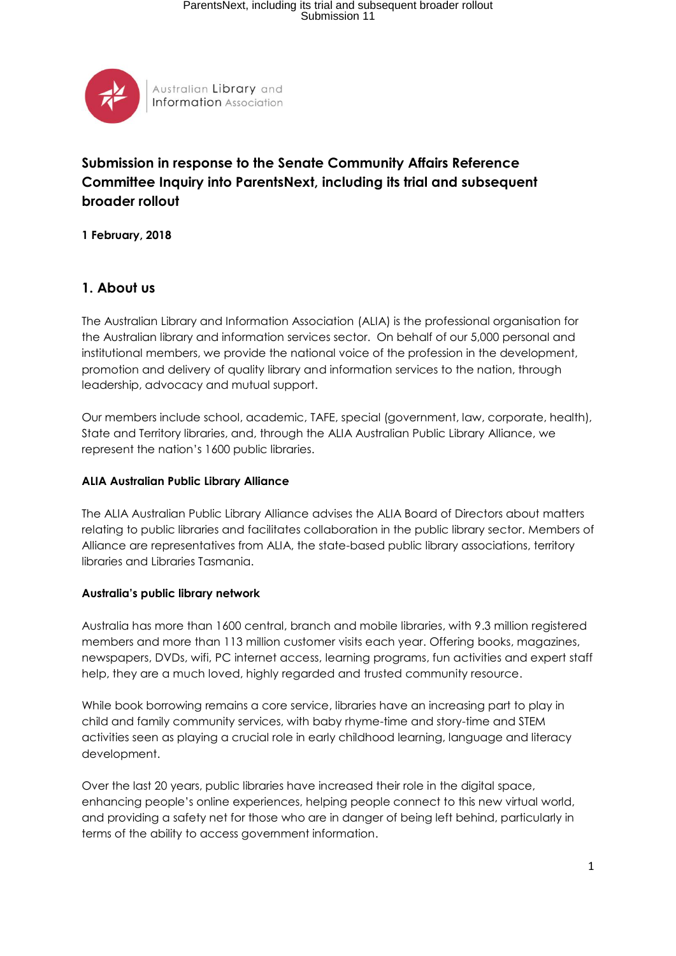

## **Submission in response to the Senate Community Affairs Reference Committee Inquiry into ParentsNext, including its trial and subsequent broader rollout**

**1 February, 2018**

## **1. About us**

The Australian Library and Information Association (ALIA) is the professional organisation for the Australian library and information services sector. On behalf of our 5,000 personal and institutional members, we provide the national voice of the profession in the development, promotion and delivery of quality library and information services to the nation, through leadership, advocacy and mutual support.

Our members include school, academic, TAFE, special (government, law, corporate, health), State and Territory libraries, and, through the ALIA Australian Public Library Alliance, we represent the nation's 1600 public libraries.

#### **ALIA Australian Public Library Alliance**

The ALIA Australian Public Library Alliance advises the ALIA Board of Directors about matters relating to public libraries and facilitates collaboration in the public library sector. Members of Alliance are representatives from ALIA, the state-based public library associations, territory libraries and Libraries Tasmania.

#### **Australia's public library network**

Australia has more than 1600 central, branch and mobile libraries, with 9.3 million registered members and more than 113 million customer visits each year. Offering books, magazines, newspapers, DVDs, wifi, PC internet access, learning programs, fun activities and expert staff help, they are a much loved, highly regarded and trusted community resource.

While book borrowing remains a core service, libraries have an increasing part to play in child and family community services, with baby rhyme-time and story-time and STEM activities seen as playing a crucial role in early childhood learning, language and literacy development.

Over the last 20 years, public libraries have increased their role in the digital space, enhancing people's online experiences, helping people connect to this new virtual world, and providing a safety net for those who are in danger of being left behind, particularly in terms of the ability to access government information.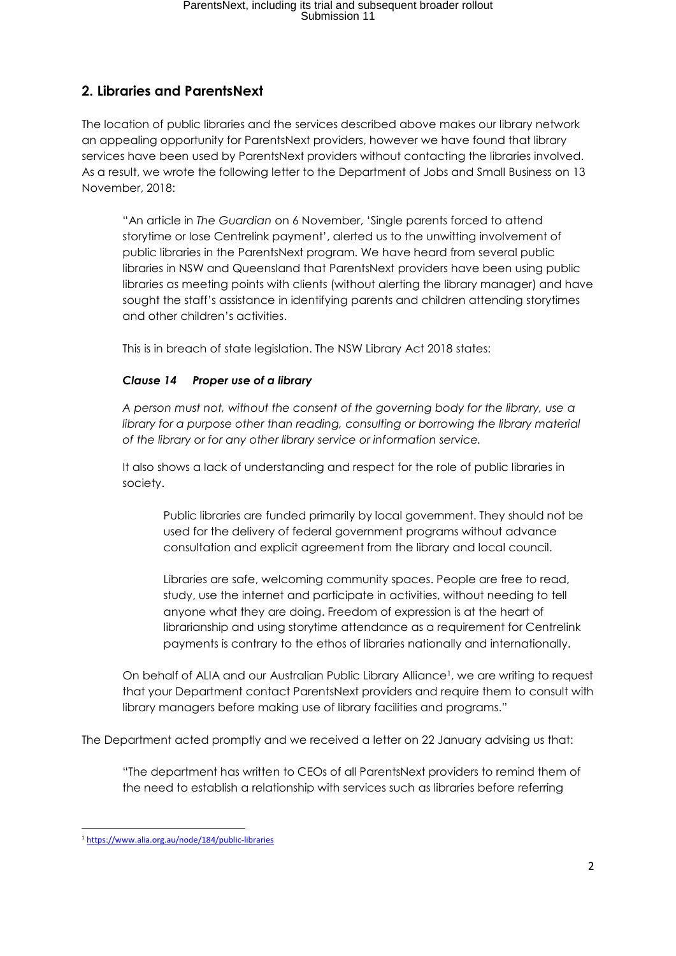# **2. Libraries and ParentsNext**

The location of public libraries and the services described above makes our library network an appealing opportunity for ParentsNext providers, however we have found that library services have been used by ParentsNext providers without contacting the libraries involved. As a result, we wrote the following letter to the Department of Jobs and Small Business on 13 November, 2018:

"An article in *The Guardian* on 6 November, 'Single parents forced to attend storytime or lose Centrelink payment', alerted us to the unwitting involvement of public libraries in the ParentsNext program. We have heard from several public libraries in NSW and Queensland that ParentsNext providers have been using public libraries as meeting points with clients (without alerting the library manager) and have sought the staff's assistance in identifying parents and children attending storytimes and other children's activities.

This is in breach of state legislation. The NSW Library Act 2018 states:

### *Clause 14 Proper use of a library*

*A person must not, without the consent of the governing body for the library, use a library for a purpose other than reading, consulting or borrowing the library material of the library or for any other library service or information service.*

It also shows a lack of understanding and respect for the role of public libraries in society.

Public libraries are funded primarily by local government. They should not be used for the delivery of federal government programs without advance consultation and explicit agreement from the library and local council.

Libraries are safe, welcoming community spaces. People are free to read, study, use the internet and participate in activities, without needing to tell anyone what they are doing. Freedom of expression is at the heart of librarianship and using storytime attendance as a requirement for Centrelink payments is contrary to the ethos of libraries nationally and internationally.

On behalf of ALIA and our Australian Public Library Alliance1, we are writing to request that your Department contact ParentsNext providers and require them to consult with library managers before making use of library facilities and programs."

The Department acted promptly and we received a letter on 22 January advising us that:

"The department has written to CEOs of all ParentsNext providers to remind them of the need to establish a relationship with services such as libraries before referring

<sup>1</sup> <sup>1</sup> <https://www.alia.org.au/node/184/public-libraries>